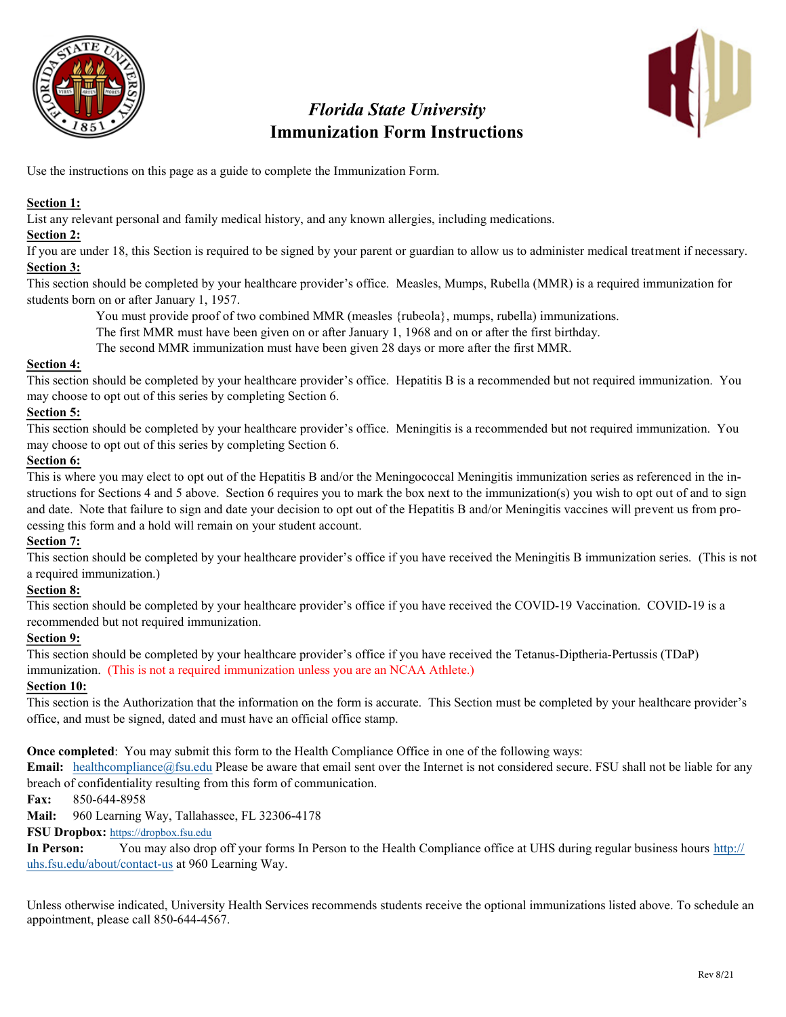

# *Florida State University* **Immunization Form Instructions**



Use the instructions on this page as a guide to complete the Immunization Form.

#### **Section 1:**

List any relevant personal and family medical history, and any known allergies, including medications.

#### **Section 2:**

If you are under 18, this Section is required to be signed by your parent or guardian to allow us to administer medical treatment if necessary. **Section 3:**

This section should be completed by your healthcare provider's office. Measles, Mumps, Rubella (MMR) is a required immunization for students born on or after January 1, 1957.

You must provide proof of two combined MMR (measles {rubeola}, mumps, rubella) immunizations.

The first MMR must have been given on or after January 1, 1968 and on or after the first birthday.

The second MMR immunization must have been given 28 days or more after the first MMR.

## **Section 4:**

This section should be completed by your healthcare provider's office. Hepatitis B is a recommended but not required immunization. You may choose to opt out of this series by completing Section 6.

## **Section 5:**

This section should be completed by your healthcare provider's office. Meningitis is a recommended but not required immunization. You may choose to opt out of this series by completing Section 6.

## **Section 6:**

This is where you may elect to opt out of the Hepatitis B and/or the Meningococcal Meningitis immunization series as referenced in the instructions for Sections 4 and 5 above. Section 6 requires you to mark the box next to the immunization(s) you wish to opt out of and to sign and date. Note that failure to sign and date your decision to opt out of the Hepatitis B and/or Meningitis vaccines will prevent us from processing this form and a hold will remain on your student account.

## **Section 7:**

This section should be completed by your healthcare provider's office if you have received the Meningitis B immunization series. (This is not a required immunization.)

## **Section 8:**

This section should be completed by your healthcare provider's office if you have received the COVID-19 Vaccination. COVID-19 is a recommended but not required immunization.

#### **Section 9:**

This section should be completed by your healthcare provider's office if you have received the Tetanus-Diptheria-Pertussis (TDaP) immunization. (This is not a required immunization unless you are an NCAA Athlete.)

# **Section 10:**

This section is the Authorization that the information on the form is accurate. This Section must be completed by your healthcare provider's office, and must be signed, dated and must have an official office stamp.

**Once completed:** You may submit this form to the Health Compliance Office in one of the following ways:

Email: healthcompliance@fsu.edu Please be aware that email sent over the Internet is not considered secure. FSU shall not be liable for any breach of confidentiality resulting from this form of communication.

**Fax:** 850-644-8958

**Mail:** 960 Learning Way, Tallahassee, FL 32306-4178

**FSU Dropbox:** https://dropbox.fsu.edu

**In Person:** [You may also drop](https://dropbox.fsu.edu) off your forms In Person to the Health Compliance office at UHS during regular business hours [http://](http://uhs.fsu.edu/about/contact-us) [uhs.fsu.edu/about/contact](http://uhs.fsu.edu/about/contact-us)-us at 960 Learning Way.

Unless otherwise indicated, University Health Services recommends students receive the optional immunizations listed above. To schedule an appointment, please call 850-644-4567.